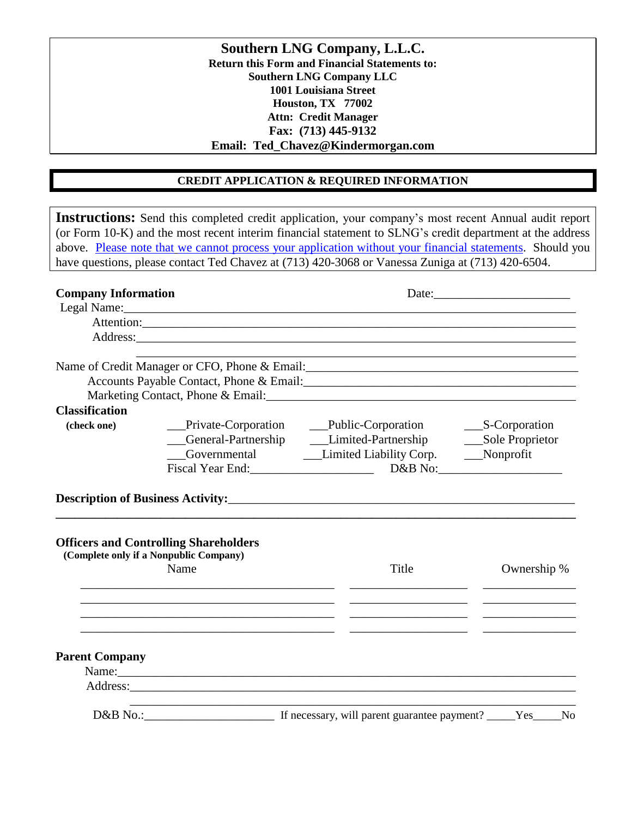**Southern LNG Company, L.L.C. Return this Form and Financial Statements to: Southern LNG Company LLC 1001 Louisiana Street Houston, TX 77002 Attn: Credit Manager Fax: (713) 445-9132 Email: Ted\_Chavez@Kindermorgan.com**

# **CREDIT APPLICATION & REQUIRED INFORMATION**

|                       | <b>Company Information</b>                                                             | have questions, please contact Ted Chavez at (713) 420-3068 or Vanessa Zuniga at (713) 420-6504. |                   |  |
|-----------------------|----------------------------------------------------------------------------------------|--------------------------------------------------------------------------------------------------|-------------------|--|
|                       |                                                                                        |                                                                                                  |                   |  |
|                       | Attention:                                                                             |                                                                                                  |                   |  |
|                       | Address:                                                                               |                                                                                                  |                   |  |
|                       |                                                                                        |                                                                                                  |                   |  |
|                       |                                                                                        | Accounts Payable Contact, Phone & Email:                                                         |                   |  |
|                       |                                                                                        |                                                                                                  |                   |  |
| <b>Classification</b> |                                                                                        |                                                                                                  |                   |  |
| (check one)           |                                                                                        |                                                                                                  |                   |  |
|                       |                                                                                        | __General-Partnership _______Limited-Partnership                                                 | __Sole Proprietor |  |
|                       |                                                                                        | Governmental Limited Liability Corp. Nonprofit                                                   |                   |  |
|                       | Fiscal Year End:                                                                       |                                                                                                  |                   |  |
|                       |                                                                                        |                                                                                                  |                   |  |
|                       | <b>Officers and Controlling Shareholders</b><br>(Complete only if a Nonpublic Company) |                                                                                                  |                   |  |
|                       | Name                                                                                   | Title                                                                                            | Ownership %       |  |
|                       |                                                                                        |                                                                                                  |                   |  |
|                       |                                                                                        |                                                                                                  |                   |  |
| <b>Parent Company</b> |                                                                                        |                                                                                                  |                   |  |
|                       | Name:                                                                                  |                                                                                                  |                   |  |
|                       |                                                                                        |                                                                                                  |                   |  |